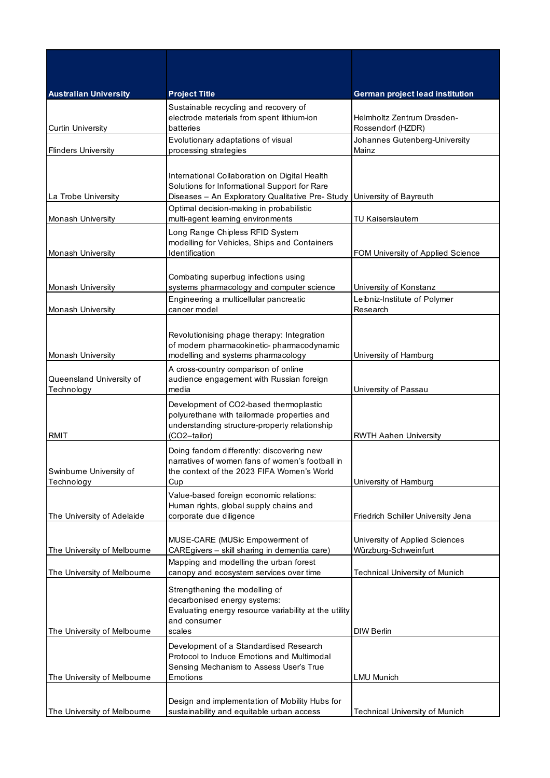| <b>Australian University</b>           | <b>Project Title</b>                                                                                                                                   | <b>German project lead institution</b>                 |
|----------------------------------------|--------------------------------------------------------------------------------------------------------------------------------------------------------|--------------------------------------------------------|
| <b>Curtin University</b>               | Sustainable recycling and recovery of<br>electrode materials from spent lithium-ion<br>batteries                                                       | Helmholtz Zentrum Dresden-<br>Rossendorf (HZDR)        |
|                                        | Evolutionary adaptations of visual                                                                                                                     | Johannes Gutenberg-University                          |
| <b>Flinders University</b>             | processing strategies                                                                                                                                  | Mainz                                                  |
| La Trobe University                    | International Collaboration on Digital Health<br>Solutions for Informational Support for Rare<br>Diseases - An Exploratory Qualitative Pre- Study      | University of Bayreuth                                 |
| <b>Monash University</b>               | Optimal decision-making in probabilistic<br>multi-agent learning environments                                                                          | TU Kaiserslautern                                      |
| <b>Monash University</b>               | Long Range Chipless RFID System<br>modelling for Vehicles, Ships and Containers<br>Identification                                                      | FOM University of Applied Science                      |
| Monash University                      | Combating superbug infections using<br>systems pharmacology and computer science                                                                       | University of Konstanz                                 |
| Monash University                      | Engineering a multicellular pancreatic<br>cancer model                                                                                                 | Leibniz-Institute of Polymer<br>Research               |
| Monash University                      | Revolutionising phage therapy: Integration<br>of modern pharmacokinetic-pharmacodynamic<br>modelling and systems pharmacology                          | University of Hamburg                                  |
| Queensland University of<br>Technology | A cross-country comparison of online<br>audience engagement with Russian foreign<br>media                                                              | University of Passau                                   |
| <b>RMIT</b>                            | Development of CO2-based thermoplastic<br>polyurethane with tailormade properties and<br>understanding structure-property relationship<br>(CO2-tailor) | <b>RWTH Aahen University</b>                           |
| Swinburne University of<br>Technology  | Doing fandom differently: discovering new<br>narratives of women fans of women's football in<br>the context of the 2023 FIFA Women's World<br>Cup      | University of Hamburg                                  |
| The University of Adelaide             | Value-based foreign economic relations:<br>Human rights, global supply chains and<br>corporate due diligence                                           | Friedrich Schiller University Jena                     |
| The University of Melbourne            | MUSE-CARE (MUSic Empowerment of<br>CAREgivers - skill sharing in dementia care)                                                                        | University of Applied Sciences<br>Würzburg-Schweinfurt |
| The University of Melbourne            | Mapping and modelling the urban forest<br>canopy and ecosystem services over time                                                                      | <b>Technical University of Munich</b>                  |
| The University of Melbourne            | Strengthening the modelling of<br>decarbonised energy systems:<br>Evaluating energy resource variability at the utility<br>and consumer<br>scales      | <b>DIW Berlin</b>                                      |
| The University of Melbourne            | Development of a Standardised Research<br>Protocol to Induce Emotions and Multimodal<br>Sensing Mechanism to Assess User's True<br>Emotions            | <b>LMU Munich</b>                                      |
| The University of Melbourne            | Design and implementation of Mobility Hubs for<br>sustainability and equitable urban access                                                            | Technical University of Munich                         |